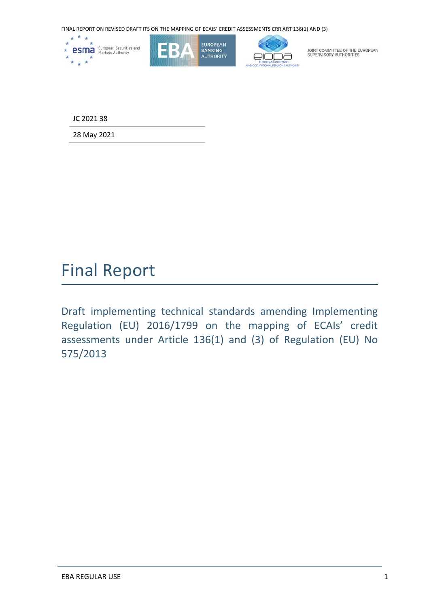

JC 2021 38

28 May 2021

## Final Report

Draft implementing technical standards amending Implementing Regulation (EU) 2016/1799 on the mapping of ECAIs' credit assessments under Article 136(1) and (3) of Regulation (EU) No 575/2013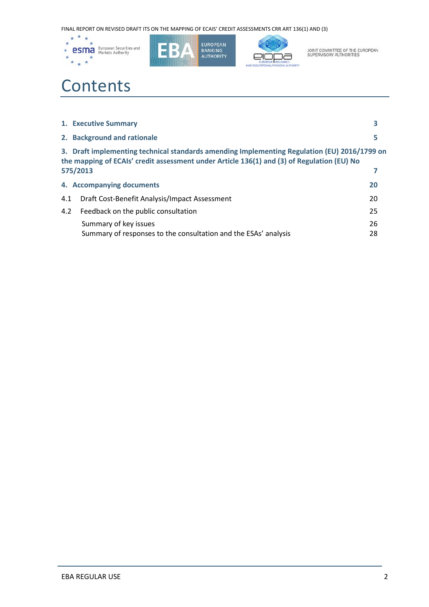





JOINT COMMITTEE OF THE EUROPEAN<br>SUPERVISORY AUTHORITIES

# **Contents**

|     | 1. Executive Summary                                                                                                                                                                                   |          |  |  |  |  |
|-----|--------------------------------------------------------------------------------------------------------------------------------------------------------------------------------------------------------|----------|--|--|--|--|
|     | 2. Background and rationale                                                                                                                                                                            | 5        |  |  |  |  |
|     | 3. Draft implementing technical standards amending Implementing Regulation (EU) 2016/1799 on<br>the mapping of ECAIs' credit assessment under Article 136(1) and (3) of Regulation (EU) No<br>575/2013 |          |  |  |  |  |
|     | 4. Accompanying documents                                                                                                                                                                              | 20       |  |  |  |  |
| 4.1 | Draft Cost-Benefit Analysis/Impact Assessment                                                                                                                                                          | 20       |  |  |  |  |
| 4.2 | Feedback on the public consultation                                                                                                                                                                    | 25       |  |  |  |  |
|     | Summary of key issues<br>Summary of responses to the consultation and the ESAs' analysis                                                                                                               | 26<br>28 |  |  |  |  |
|     |                                                                                                                                                                                                        |          |  |  |  |  |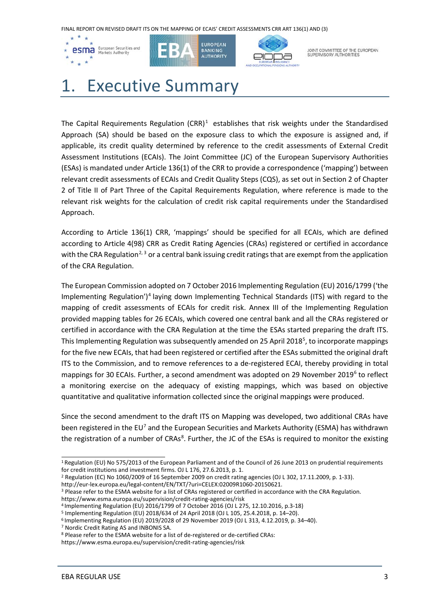





JOINT COMMITTEE OF THE EUROPEAN<br>SUPERVISORY AUTHORITIES

# 1. Executive Summary

The Capital Requirements Regulation  $(CRR)^1$  $(CRR)^1$  establishes that risk weights under the Standardised Approach (SA) should be based on the exposure class to which the exposure is assigned and, if applicable, its credit quality determined by reference to the credit assessments of External Credit Assessment Institutions (ECAIs). The Joint Committee (JC) of the European Supervisory Authorities (ESAs) is mandated under Article 136(1) of the CRR to provide a correspondence ('mapping') between relevant credit assessments of ECAIs and Credit Quality Steps (CQS), as set out in Section 2 of Chapter 2 of Title II of Part Three of the Capital Requirements Regulation, where reference is made to the relevant risk weights for the calculation of credit risk capital requirements under the Standardised Approach.

According to Article 136(1) CRR, 'mappings' should be specified for all ECAIs, which are defined according to Article 4(98) CRR as Credit Rating Agencies (CRAs) registered or certified in accordance with the CRA Regulation<sup>[2](#page-2-1), [3](#page-2-2)</sup> or a central bank issuing credit ratings that are exempt from the application of the CRA Regulation.

The European Commission adopted on 7 October 2016 Implementing Regulation (EU) 2016/1799 ('the Implementing Regulation')[4](#page-2-3) laying down Implementing Technical Standards (ITS) with regard to the mapping of credit assessments of ECAIs for credit risk. Annex III of the Implementing Regulation provided mapping tables for 26 ECAIs, which covered one central bank and all the CRAs registered or certified in accordance with the CRA Regulation at the time the ESAs started preparing the draft ITS. This Implementing Regulation was subsequently amended on 2[5](#page-2-4) April 2018<sup>5</sup>, to incorporate mappings for the five new ECAIs, that had been registered or certified after the ESAs submitted the original draft ITS to the Commission, and to remove references to a de-registered ECAI, thereby providing in total mappings for 30 ECAIs. Further, a second amendment was adopted on 29 November 2019<sup>[6](#page-2-5)</sup> to reflect a monitoring exercise on the adequacy of existing mappings, which was based on objective quantitative and qualitative information collected since the original mappings were produced.

Since the second amendment to the draft ITS on Mapping was developed, two additional CRAs have been registered in the EU<sup>[7](#page-2-6)</sup> and the European Securities and Markets Authority (ESMA) has withdrawn the registration of a number of CRAs<sup>8</sup>. Further, the JC of the ESAs is required to monitor the existing

<span id="page-2-2"></span><sup>3</sup> Please refer to the ESMA website for a list of CRAs registered or certified in accordance with the CRA Regulation. <https://www.esma.europa.eu/supervision/credit-rating-agencies/risk>

<span id="page-2-0"></span> $\overline{a}$ <sup>1</sup> Regulation (EU) No 575/2013 of the European Parliament and of the Council of 26 June 2013 on prudential requirements for credit institutions and investment firms. OJ L 176, 27.6.2013, p. 1.

<span id="page-2-1"></span><sup>&</sup>lt;sup>2</sup> Regulation (EC) No 1060/2009 of 16 September 2009 on credit rating agencies (OJ L 302, 17.11.2009, p. 1-33).<br>http://eur-lex.europa.eu/legal-content/EN/TXT/?uri=CELEX:02009R1060-20150621.

<span id="page-2-4"></span><span id="page-2-3"></span><sup>&</sup>lt;sup>4</sup> Implementing Regulation (EU) 2016/1799 of 7 October 2016 (OJ L 275, 12.10.2016, p.3-18) 5 Implementing Regulation (EU) 2018/634 of 24 April 2018 (OJ L 105, 25.4.2018, p. 14–20).

<span id="page-2-5"></span><sup>6</sup> Implementing Regulation (EU) 2019/2028 of 29 November 2019 (OJ L 313, 4.12.2019, p. 34–40).

<span id="page-2-7"></span><span id="page-2-6"></span> $7$  Nordic Credit Rating AS and INBONIS SA.<br>8 Please refer to the ESMA website for a list of de-registered or de-certified CRAs:

<https://www.esma.europa.eu/supervision/credit-rating-agencies/risk>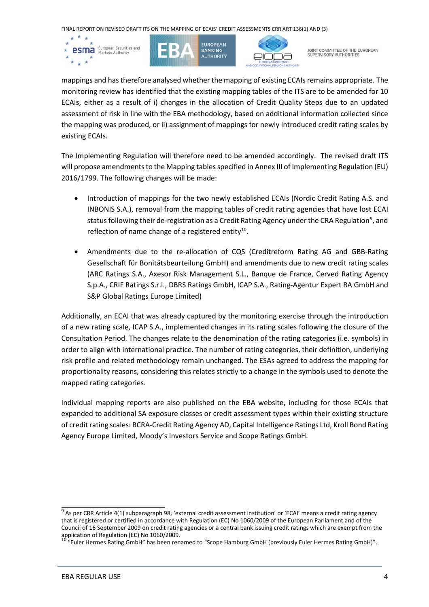





JOINT COMMITTEE OF THE EUROPEAN<br>SUPERVISORY AUTHORITIES

mappings and has therefore analysed whether the mapping of existing ECAIs remains appropriate. The monitoring review has identified that the existing mapping tables of the ITS are to be amended for 10 ECAIs, either as a result of i) changes in the allocation of Credit Quality Steps due to an updated assessment of risk in line with the EBA methodology, based on additional information collected since the mapping was produced, or ii) assignment of mappings for newly introduced credit rating scales by existing ECAIs.

The Implementing Regulation will therefore need to be amended accordingly. The revised draft ITS will propose amendments to the Mapping tables specified in Annex III of Implementing Regulation (EU) 2016/1799. The following changes will be made:

- Introduction of mappings for the two newly established ECAIs (Nordic Credit Rating A.S. and INBONIS S.A.), removal from the mapping tables of credit rating agencies that have lost ECAI status following their de-registration as a Credit Rating Agency under the CRA Regulation<sup>[9](#page-3-0)</sup>, and reflection of name change of a registered entity $10$ .
- Amendments due to the re-allocation of CQS (Creditreform Rating AG and GBB-Rating Gesellschaft für Bonitätsbeurteilung GmbH) and amendments due to new credit rating scales (ARC Ratings S.A., Axesor Risk Management S.L., Banque de France, Cerved Rating Agency S.p.A., CRIF Ratings S.r.l., DBRS Ratings GmbH, ICAP S.A., Rating-Agentur Expert RA GmbH and S&P Global Ratings Europe Limited)

Additionally, an ECAI that was already captured by the monitoring exercise through the introduction of a new rating scale, ICAP S.A., implemented changes in its rating scales following the closure of the Consultation Period. The changes relate to the denomination of the rating categories (i.e. symbols) in order to align with international practice. The number of rating categories, their definition, underlying risk profile and related methodology remain unchanged. The ESAs agreed to address the mapping for proportionality reasons, considering this relates strictly to a change in the symbols used to denote the mapped rating categories.

Individual mapping reports are also published on the EBA website, including for those ECAIs that expanded to additional SA exposure classes or credit assessment types within their existing structure of credit rating scales: BCRA-Credit Rating Agency AD, Capital Intelligence Ratings Ltd, Kroll Bond Rating Agency Europe Limited, Moody's Investors Service and Scope Ratings GmbH.

<span id="page-3-0"></span> $9$  As per CRR Article 4(1) subparagraph 98, 'external credit assessment institution' or 'ECAI' means a credit rating agency that is registered or certified in accordance with Regulation (EC) No 1060/2009 of the European Parliament and of the Council of 16 September 2009 on credit rating agencies or a central bank issuing credit ratings which are exempt from the application of Regulation (EC) No 1060/2009.<br>  $\frac{10 \text{ ft}}{20 \text{ ft}}$ 

<span id="page-3-1"></span><sup>&</sup>quot;Euler Hermes Rating GmbH" has been renamed to "Scope Hamburg GmbH (previously Euler Hermes Rating GmbH)".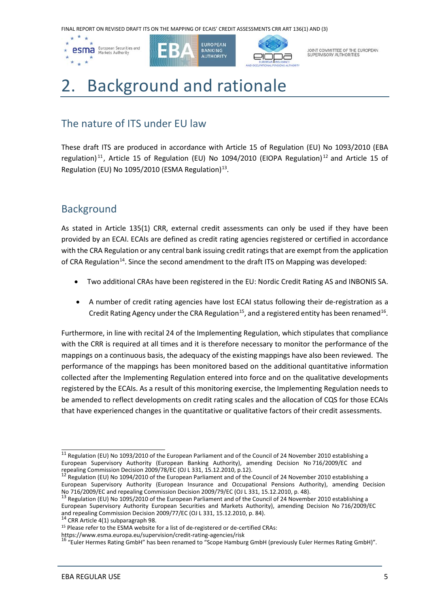

JOINT COMMITTEE OF THE EUROPEAN<br>SUPERVISORY AUTHORITIES

# 2. Background and rationale

## The nature of ITS under EU law

These draft ITS are produced in accordance with Article 15 of Regulation (EU) No 1093/2010 (EBA regulation)<sup>[11](#page-4-0)</sup>, Article 15 of Regulation (EU) No 1094/2010 (EIOPA Regulation)<sup>[12](#page-4-1)</sup> and Article 15 of Regulation (EU) No 1095/2010 (ESMA Regulation) [13.](#page-4-2)

## **Background**

As stated in Article 135(1) CRR, external credit assessments can only be used if they have been provided by an ECAI. ECAIs are defined as credit rating agencies registered or certified in accordance with the CRA Regulation or any central bank issuing credit ratings that are exempt from the application of CRA Regulation<sup>14</sup>. Since the second amendment to the draft ITS on Mapping was developed:

- Two additional CRAs have been registered in the EU: Nordic Credit Rating AS and INBONIS SA.
- A number of credit rating agencies have lost ECAI status following their de-registration as a Credit Rating Agency under the CRA Regulation<sup>15</sup>, and a registered entity has been renamed<sup>16</sup>.

Furthermore, in line with recital 24 of the Implementing Regulation, which stipulates that compliance with the CRR is required at all times and it is therefore necessary to monitor the performance of the mappings on a continuous basis, the adequacy of the existing mappings have also been reviewed. The performance of the mappings has been monitored based on the additional quantitative information collected after the Implementing Regulation entered into force and on the qualitative developments registered by the ECAIs. As a result of this monitoring exercise, the Implementing Regulation needs to be amended to reflect developments on credit rating scales and the allocation of CQS for those ECAIs that have experienced changes in the quantitative or qualitative factors of their credit assessments.

<span id="page-4-3"></span>

<span id="page-4-0"></span><sup>&</sup>lt;sup>11</sup> Regulation (EU) No 1093/2010 of the European Parliament and of the Council of 24 November 2010 establishing a European Supervisory Authority (European Banking Authority), amending Decision No 716/2009/EC and repealing Commission Decision 2009/78/EC (OJ L 331, 15.12.2010, p.12).<br><sup>12</sup> Regulation (EU) No 1094/2010 of the European Parliament and of the Council of 24 November 2010 establishing a

<span id="page-4-1"></span>European Supervisory Authority (European Insurance and Occupational Pensions Authority), amending Decision No 716/2009/EC and repealing Commission Decision 2009/79/EC (OJ L 331, 15.12.2010, p. 48).<br><sup>13</sup> Regulation (EU) No 1095/2010 of the European Parliament and of the Council of 24 November 2010 establishing a

<span id="page-4-2"></span>European Supervisory Authority European Securities and Markets Authority), amending Decision No 716/2009/EC and repealing Commission Decision 2009/77/EC (OJ L 331, 15.12.2010, p. 84).<br><sup>14</sup> CRR Article 4(1) subparagraph 98.

<span id="page-4-4"></span><sup>15</sup> Please refer to the ESMA website for a list of de-registered or de-certified CRAs:

<span id="page-4-5"></span><https://www.esma.europa.eu/supervision/credit-rating-agencies/risk><br><sup>16</sup> "Euler Hermes Rating GmbH" has been renamed to "Scope Hamburg GmbH (previously Euler Hermes Rating GmbH)".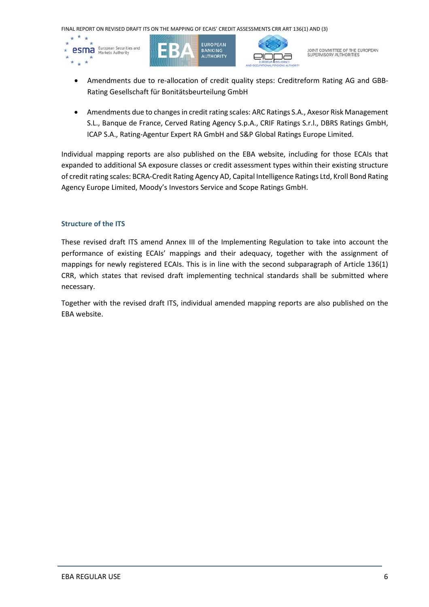

- Amendments due to re-allocation of credit quality steps: Creditreform Rating AG and GBB-Rating Gesellschaft für Bonitätsbeurteilung GmbH
- Amendments due to changes in credit rating scales: ARC Ratings S.A., Axesor Risk Management S.L., Banque de France, Cerved Rating Agency S.p.A., CRIF Ratings S.r.l., DBRS Ratings GmbH, ICAP S.A., Rating-Agentur Expert RA GmbH and S&P Global Ratings Europe Limited.

Individual mapping reports are also published on the EBA website, including for those ECAIs that expanded to additional SA exposure classes or credit assessment types within their existing structure of credit rating scales: BCRA-Credit Rating Agency AD, Capital Intelligence Ratings Ltd, Kroll Bond Rating Agency Europe Limited, Moody's Investors Service and Scope Ratings GmbH.

#### **Structure of the ITS**

These revised draft ITS amend Annex III of the Implementing Regulation to take into account the performance of existing ECAIs' mappings and their adequacy, together with the assignment of mappings for newly registered ECAIs. This is in line with the second subparagraph of Article 136(1) CRR, which states that revised draft implementing technical standards shall be submitted where necessary.

Together with the revised draft ITS, individual amended mapping reports are also published on the EBA website.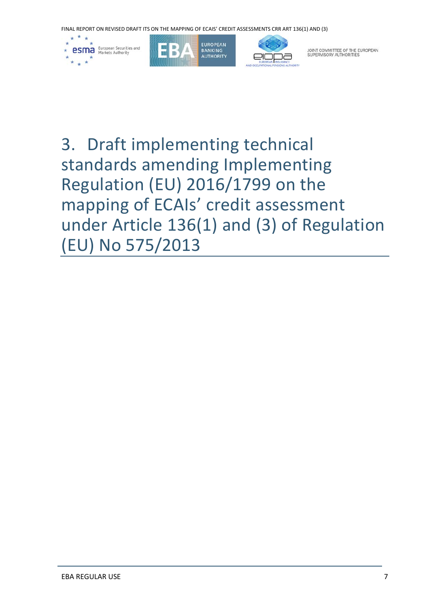

3. Draft implementing technical standards amending Implementing Regulation (EU) 2016/1799 on the mapping of ECAIs' credit assessment under Article 136(1) and (3) of Regulation (EU) No 575/2013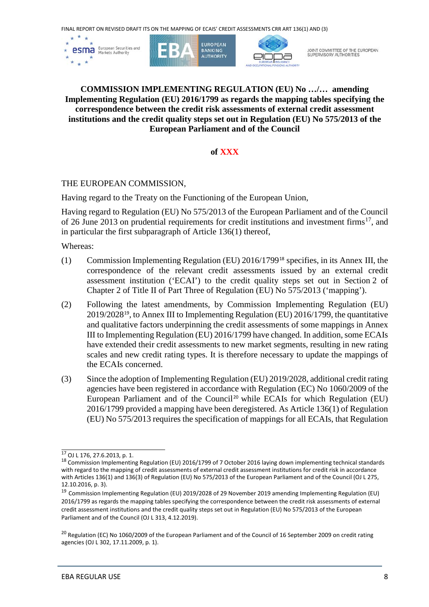

#### **COMMISSION IMPLEMENTING REGULATION (EU) No …/… amending Implementing Regulation (EU) 2016/1799 as regards the mapping tables specifying the correspondence between the credit risk assessments of external credit assessment institutions and the credit quality steps set out in Regulation (EU) No 575/2013 of the European Parliament and of the Council**

## **of XXX**

## THE EUROPEAN COMMISSION,

Having regard to the Treaty on the Functioning of the European Union,

Having regard to Regulation (EU) No 575/2013 of the European Parliament and of the Council of 26 June 2013 on prudential requirements for credit institutions and investment firms<sup>17</sup>, and in particular the first subparagraph of Article 136(1) thereof,

Whereas:

- (1) Commission Implementing Regulation (EU) 2016/1799[18](#page-7-1) specifies, in its Annex III, the correspondence of the relevant credit assessments issued by an external credit assessment institution ('ECAI') to the credit quality steps set out in Section 2 of Chapter 2 of Title II of Part Three of Regulation (EU) No 575/2013 ('mapping').
- (2) Following the latest amendments, by Commission Implementing Regulation (EU) 2019/2028[19](#page-7-2), to Annex III to Implementing Regulation (EU) 2016/1799, the quantitative and qualitative factors underpinning the credit assessments of some mappings in Annex III to Implementing Regulation (EU) 2016/1799 have changed. In addition, some ECAIs have extended their credit assessments to new market segments, resulting in new rating scales and new credit rating types. It is therefore necessary to update the mappings of the ECAIs concerned.
- (3) Since the adoption of Implementing Regulation (EU) 2019/2028, additional credit rating agencies have been registered in accordance with Regulation (EC) No 1060/2009 of the European Parliament and of the Council<sup>[20](#page-7-3)</sup> while ECAIs for which Regulation (EU) 2016/1799 provided a mapping have been deregistered. As Article 136(1) of Regulation (EU) No 575/2013 requires the specification of mappings for all ECAIs, that Regulation

<span id="page-7-0"></span> <sup>17</sup> OJ L 176, 27.6.2013, p. 1.

<span id="page-7-1"></span><sup>18</sup> Commission Implementing Regulation (EU) 2016/1799 of 7 October 2016 laying down implementing technical standards with regard to the mapping of credit assessments of external credit assessment institutions for credit risk in accordance with Articles 136(1) and 136(3) of Regulation (EU) No 575/2013 of the European Parliament and of the Council (OJ L 275, 12.10.2016, p. 3).

<span id="page-7-2"></span><sup>19</sup> Commission Implementing Regulation (EU) 2019/2028 of 29 November 2019 amending Implementing Regulation (EU) 2016/1799 as regards the mapping tables specifying the correspondence between the credit risk assessments of external credit assessment institutions and the credit quality steps set out in Regulation (EU) No 575/2013 of the European Parliament and of the Council (OJ L 313, 4.12.2019).

<span id="page-7-3"></span><sup>&</sup>lt;sup>20</sup> Regulation (EC) No 1060/2009 of the European Parliament and of the Council of 16 September 2009 on credit rating agencies (OJ L 302, 17.11.2009, p. 1).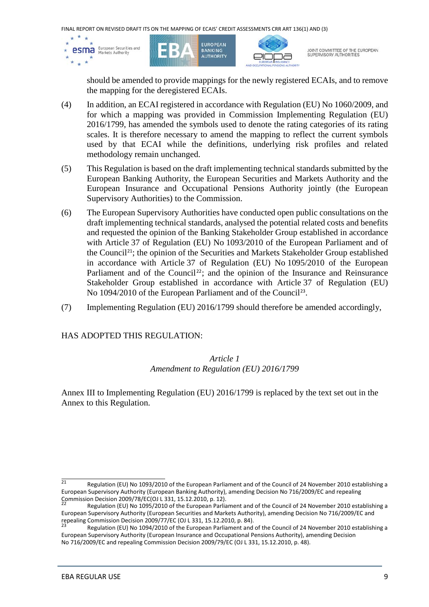

should be amended to provide mappings for the newly registered ECAIs, and to remove the mapping for the deregistered ECAIs.

- (4) In addition, an ECAI registered in accordance with Regulation (EU) No 1060/2009, and for which a mapping was provided in Commission Implementing Regulation (EU) 2016/1799, has amended the symbols used to denote the rating categories of its rating scales. It is therefore necessary to amend the mapping to reflect the current symbols used by that ECAI while the definitions, underlying risk profiles and related methodology remain unchanged.
- (5) This Regulation is based on the draft implementing technical standards submitted by the European Banking Authority, the European Securities and Markets Authority and the European Insurance and Occupational Pensions Authority jointly (the European Supervisory Authorities) to the Commission.
- (6) The European Supervisory Authorities have conducted open public consultations on the draft implementing technical standards, analysed the potential related costs and benefits and requested the opinion of the Banking Stakeholder Group established in accordance with Article 37 of Regulation (EU) No 1093/2010 of the European Parliament and of the Council[21](#page-8-0); the opinion of the Securities and Markets Stakeholder Group established in accordance with Article 37 of Regulation (EU) No 1095/2010 of the European Parliament and of the Council<sup>[22](#page-8-1)</sup>; and the opinion of the Insurance and Reinsurance Stakeholder Group established in accordance with Article 37 of Regulation (EU) No 1094/2010 of the European Parliament and of the Council<sup>[23](#page-8-2)</sup>.
- (7) Implementing Regulation (EU) 2016/1799 should therefore be amended accordingly,

## HAS ADOPTED THIS REGULATION:

## *Article 1 Amendment to Regulation (EU) 2016/1799*

Annex III to Implementing Regulation (EU) 2016/1799 is replaced by the text set out in the Annex to this Regulation.

<span id="page-8-0"></span> $\frac{1}{21}$  Regulation (EU) No 1093/2010 of the European Parliament and of the Council of 24 November 2010 establishing a European Supervisory Authority (European Banking Authority), amending Decision No 716/2009/EC and repealing<br>Commission Decision 2009/78/EC(OJ L 331, 15.12.2010, p. 12).

<span id="page-8-1"></span>Regulation (EU) No 1095/2010 of the European Parliament and of the Council of 24 November 2010 establishing a European Supervisory Authority (European Securities and Markets Authority), amending Decision No 716/2009/EC and<br>repealing Commission Decision 2009/77/EC (OJ L 331, 15.12.2010, p. 84).

<span id="page-8-2"></span>Regulation (EU) No 1094/2010 of the European Parliament and of the Council of 24 November 2010 establishing a European Supervisory Authority (European Insurance and Occupational Pensions Authority), amending Decision No 716/2009/EC and repealing Commission Decision 2009/79/EC (OJ L 331, 15.12.2010, p. 48).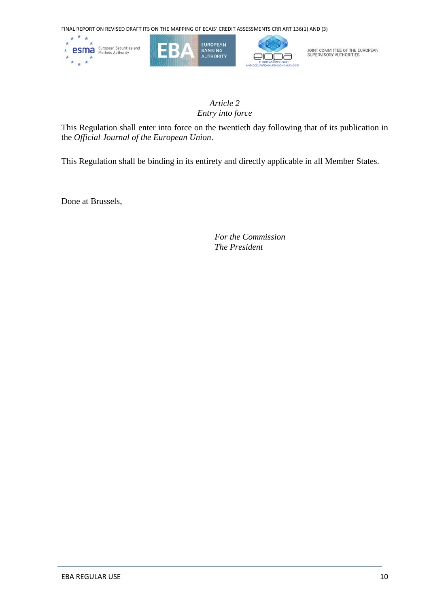

## *Article 2 Entry into force*

This Regulation shall enter into force on the twentieth day following that of its publication in the *Official Journal of the European Union*.

This Regulation shall be binding in its entirety and directly applicable in all Member States.

Done at Brussels,

*For the Commission The President*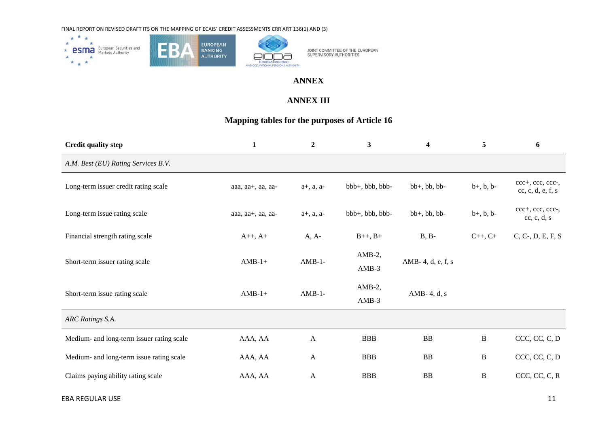



## **ANNEX**

## **ANNEX III**

## **Mapping tables for the purposes of Article 16**

| <b>Credit quality step</b>                | $\mathbf{1}$           | $\overline{2}$ | $\mathbf{3}$         | 4                 | 5                  | 6                                     |
|-------------------------------------------|------------------------|----------------|----------------------|-------------------|--------------------|---------------------------------------|
| A.M. Best (EU) Rating Services B.V.       |                        |                |                      |                   |                    |                                       |
| Long-term issuer credit rating scale      | aaa, $aa+$ , aa, $aa-$ | $a+, a, a-$    | bbb+, bbb, bbb-      | $bb+, bb, bb$     | $b+, b, b-$        | ccc+, ccc, ccc-,<br>cc, c, d, e, f, s |
| Long-term issue rating scale              | aaa, aa+, aa, aa-      | $a+, a, a-$    | bbb+, bbb, bbb-      | $bb+, bb, bb$     | $b+, b, b-$        | ccc+, ccc, ccc-,<br>cc, c, d, s       |
| Financial strength rating scale           | $A++, A+$              | $A, A-$        | $B_{++}$ , $B_{+}$   | $B, B-$           | $C_{++}$ , $C_{+}$ | $C, C-, D, E, F, S$                   |
| Short-term issuer rating scale            | $AMB-1+$               | $AMB-1-$       | $AMB-2$ ,<br>$AMB-3$ | AMB-4, d, e, f, s |                    |                                       |
| Short-term issue rating scale             | $AMB-1+$               | $AMB-1-$       | $AMB-2$ ,<br>$AMB-3$ | AMB-4, $d$ , s    |                    |                                       |
| ARC Ratings S.A.                          |                        |                |                      |                   |                    |                                       |
| Medium- and long-term issuer rating scale | AAA, AA                | $\mathbf{A}$   | <b>BBB</b>           | <b>BB</b>         | $\, {\bf B}$       | CCC, CC, C, D                         |
| Medium- and long-term issue rating scale  | AAA, AA                | $\mathbf{A}$   | <b>BBB</b>           | <b>BB</b>         | B                  | CCC, CC, C, D                         |
| Claims paying ability rating scale        | AAA, AA                | $\mathbf{A}$   | <b>BBB</b>           | <b>BB</b>         | B                  | CCC, CC, C, R                         |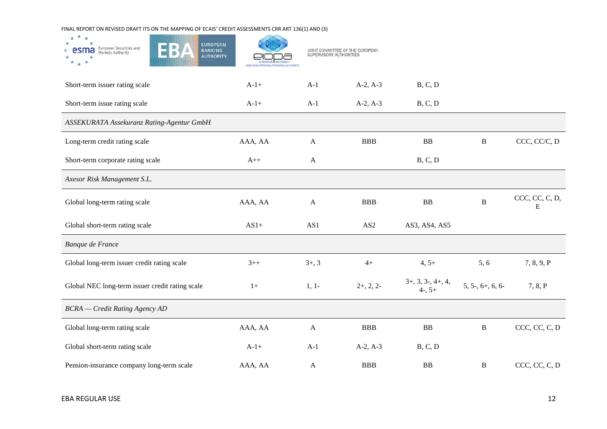| ×<br><b>EUROPEAN</b><br>European Securities and<br>Markets Authority<br><b>BANKING</b><br><b>AUTHORITY</b> | AND OCCUPATIONAL PENSIONS AUTHORITY | JOINT COMMITTEE OF THE EUROPEAN<br>SUPERVISORY AUTHORITIES |                 |                                    |                  |                     |
|------------------------------------------------------------------------------------------------------------|-------------------------------------|------------------------------------------------------------|-----------------|------------------------------------|------------------|---------------------|
| Short-term issuer rating scale                                                                             | $A-1+$                              | $A-1$                                                      | $A-2, A-3$      | B, C, D                            |                  |                     |
| Short-term issue rating scale                                                                              | $A-1+$                              | $A-1$                                                      | $A-2, A-3$      | B, C, D                            |                  |                     |
| ASSEKURATA Assekuranz Rating-Agentur GmbH                                                                  |                                     |                                                            |                 |                                    |                  |                     |
| Long-term credit rating scale                                                                              | AAA, AA                             | $\mathbf{A}$                                               | <b>BBB</b>      | ${\bf BB}$                         | $\bf{B}$         | CCC, CC/C, D        |
| Short-term corporate rating scale                                                                          | $A++$                               | $\mathbf{A}$                                               |                 | B, C, D                            |                  |                     |
| Axesor Risk Management S.L.                                                                                |                                     |                                                            |                 |                                    |                  |                     |
| Global long-term rating scale                                                                              | AAA, AA                             | $\mathbf{A}$                                               | <b>BBB</b>      | BB                                 | $\, {\bf B}$     | CCC, CC, C, D,<br>Ε |
| Global short-term rating scale                                                                             | $AS1+$                              | AS1                                                        | AS <sub>2</sub> | AS3, AS4, AS5                      |                  |                     |
| Banque de France                                                                                           |                                     |                                                            |                 |                                    |                  |                     |
| Global long-term issuer credit rating scale                                                                | $3++$                               | $3+, 3$                                                    | $4+$            | $4, 5+$                            | 5, 6             | 7, 8, 9, P          |
| Global NEC long-term issuer credit rating scale                                                            | $1+$                                | $1, 1-$                                                    | $2+, 2, 2-$     | $3+, 3, 3-, 4+, 4,$<br>$4-$ , $5+$ | $5, 5, 6+, 6, 6$ | 7, 8, P             |
| <b>BCRA</b> - Credit Rating Agency AD                                                                      |                                     |                                                            |                 |                                    |                  |                     |
| Global long-term rating scale                                                                              | AAA, AA                             | $\mathbf{A}$                                               | <b>BBB</b>      | ${\bf BB}$                         | $\, {\bf B}$     | CCC, CC, C, D       |
| Global short-term rating scale                                                                             | $A-1+$                              | $A-1$                                                      | $A-2, A-3$      | B, C, D                            |                  |                     |
| Pension-insurance company long-term scale                                                                  | AAA, AA                             | $\mathbf{A}$                                               | <b>BBB</b>      | BB                                 | $\, {\bf B}$     | CCC, CC, C, D       |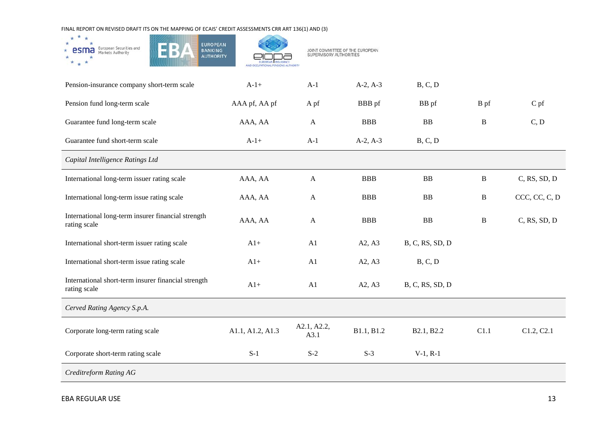

| Pension-insurance company short-term scale                          | $A-1+$           | $A-1$               | $A-2, A-3$ | B, C, D         |              |                 |
|---------------------------------------------------------------------|------------------|---------------------|------------|-----------------|--------------|-----------------|
| Pension fund long-term scale                                        | AAA pf, AA pf    | A pf                | BBB pf     | BB pf           | B pf         | $C$ pf          |
| Guarantee fund long-term scale                                      | AAA, AA          | $\mathbf{A}$        | <b>BBB</b> | BB              | B            | C, D            |
| Guarantee fund short-term scale                                     | $A-1+$           | $A-1$               | $A-2, A-3$ | B, C, D         |              |                 |
| Capital Intelligence Ratings Ltd                                    |                  |                     |            |                 |              |                 |
| International long-term issuer rating scale                         | AAA, AA          | $\mathsf{A}$        | <b>BBB</b> | <b>BB</b>       | $\, {\bf B}$ | $C$ , RS, SD, D |
| International long-term issue rating scale                          | AAA, AA          | $\mathbf{A}$        | <b>BBB</b> | BB              | $\, {\bf B}$ | CCC, CC, C, D   |
| International long-term insurer financial strength<br>rating scale  | AAA, AA          | $\mathbf{A}$        | <b>BBB</b> | BB              | $\, {\bf B}$ | $C$ , RS, SD, D |
| International short-term issuer rating scale                        | $A1+$            | A1                  | A2, A3     | B, C, RS, SD, D |              |                 |
| International short-term issue rating scale                         | $A1+$            | A1                  | A2, A3     | B, C, D         |              |                 |
| International short-term insurer financial strength<br>rating scale | $A1+$            | A1                  | A2, A3     | B, C, RS, SD, D |              |                 |
| Cerved Rating Agency S.p.A.                                         |                  |                     |            |                 |              |                 |
| Corporate long-term rating scale                                    | A1.1, A1.2, A1.3 | A2.1, A2.2,<br>A3.1 | B1.1, B1.2 | B2.1, B2.2      | C1.1         | C1.2, C2.1      |
| Corporate short-term rating scale                                   | $S-1$            | $S-2$               | $S-3$      | $V-1, R-1$      |              |                 |
| <b>Creditreform Rating AG</b>                                       |                  |                     |            |                 |              |                 |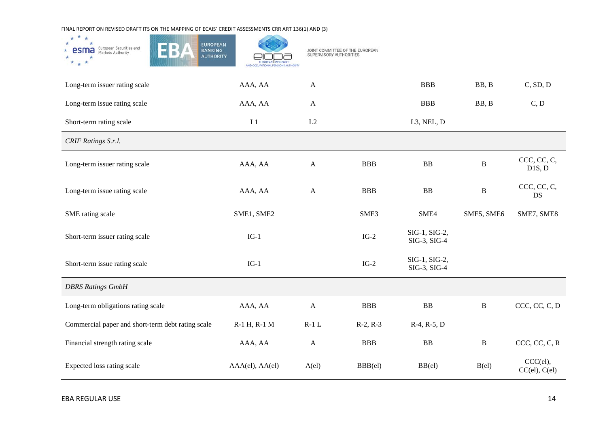| ×<br>$\star$<br><b>EUROPEAN</b><br>European Securities and<br>Markets Authority<br><b>BANKING</b><br>esma<br><b>AUTHORITY</b> | AND OCCUPATIONAL PENSIONS AUTHORITY | SUPERVISORY AUTHORITIES | JOINT COMMITTEE OF THE EUROPEAN |                               |              |                                 |
|-------------------------------------------------------------------------------------------------------------------------------|-------------------------------------|-------------------------|---------------------------------|-------------------------------|--------------|---------------------------------|
| Long-term issuer rating scale                                                                                                 | AAA, AA                             | $\mathbf{A}$            |                                 | <b>BBB</b>                    | BB, B        | C, SD, D                        |
| Long-term issue rating scale                                                                                                  | AAA, AA                             | $\mathbf{A}$            |                                 | <b>BBB</b>                    | BB, B        | C, D                            |
| Short-term rating scale                                                                                                       | L1                                  | L2                      |                                 | L3, NEL, D                    |              |                                 |
| CRIF Ratings S.r.l.                                                                                                           |                                     |                         |                                 |                               |              |                                 |
| Long-term issuer rating scale                                                                                                 | AAA, AA                             | $\mathbf{A}$            | <b>BBB</b>                      | BB                            | $\, {\bf B}$ | CCC, CC, C,<br>D1S, D           |
| Long-term issue rating scale                                                                                                  | AAA, AA                             | $\mathbf{A}$            | <b>BBB</b>                      | ${\bf BB}$                    | $\, {\bf B}$ | CCC, CC, C,<br>DS               |
| SME rating scale                                                                                                              | SME1, SME2                          |                         | SME <sub>3</sub>                | SME4                          | SME5, SME6   | SME7, SME8                      |
| Short-term issuer rating scale                                                                                                | $IG-1$                              |                         | $IG-2$                          | SIG-1, SIG-2,<br>SIG-3, SIG-4 |              |                                 |
| Short-term issue rating scale                                                                                                 | $IG-1$                              |                         | $IG-2$                          | SIG-1, SIG-2,<br>SIG-3, SIG-4 |              |                                 |
| <b>DBRS Ratings GmbH</b>                                                                                                      |                                     |                         |                                 |                               |              |                                 |
| Long-term obligations rating scale                                                                                            | AAA, AA                             | $\mathbf{A}$            | <b>BBB</b>                      | ${\bf BB}$                    | $\, {\bf B}$ | CCC, CC, C, D                   |
| Commercial paper and short-term debt rating scale                                                                             | R-1 H, R-1 M                        | $R-1$ L                 | $R-2, R-3$                      | $R-4, R-5, D$                 |              |                                 |
| Financial strength rating scale                                                                                               | AAA, AA                             | $\mathbf{A}$            | <b>BBB</b>                      | ${\bf BB}$                    | $\, {\bf B}$ | CCC, CC, C, R                   |
| Expected loss rating scale                                                                                                    | AAA(el), AA(el)                     | $A$ (el)                | $BBB$ (el)                      | $BB$ (el)                     | $B$ (el)     | CCC(el),<br>$CC$ (el), $C$ (el) |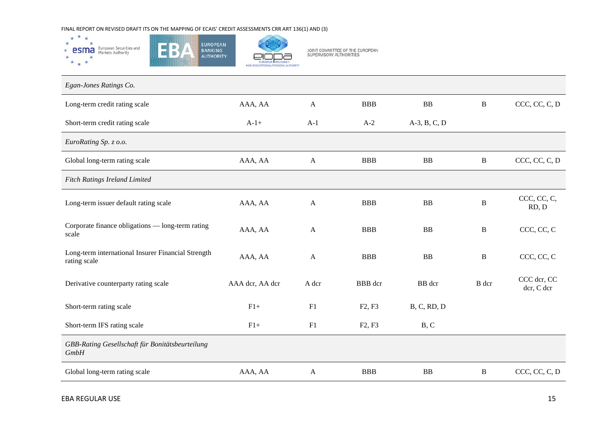

JOINT COMMITTEE OF THE EUROPEAN<br>SUPERVISORY AUTHORITIES

| Egan-Jones Ratings Co.                                             |                 |              |                                 |                |              |                           |
|--------------------------------------------------------------------|-----------------|--------------|---------------------------------|----------------|--------------|---------------------------|
| Long-term credit rating scale                                      | AAA, AA         | $\mathsf{A}$ | <b>BBB</b>                      | BB             | $\, {\bf B}$ | CCC, CC, C, D             |
| Short-term credit rating scale                                     | $A-1+$          | $A-1$        | $A-2$                           | $A-3, B, C, D$ |              |                           |
| EuroRating Sp. z o.o.                                              |                 |              |                                 |                |              |                           |
| Global long-term rating scale                                      | AAA, AA         | $\mathbf{A}$ | <b>BBB</b>                      | <b>BB</b>      | $\, {\bf B}$ | CCC, CC, C, D             |
| <b>Fitch Ratings Ireland Limited</b>                               |                 |              |                                 |                |              |                           |
| Long-term issuer default rating scale                              | AAA, AA         | $\mathbf{A}$ | <b>BBB</b>                      | <b>BB</b>      | B            | CCC, CC, C,<br>RD, D      |
| Corporate finance obligations — long-term rating<br>scale          | AAA, AA         | $\mathsf{A}$ | <b>BBB</b>                      | <b>BB</b>      | B            | CCC, CC, C                |
| Long-term international Insurer Financial Strength<br>rating scale | AAA, AA         | $\mathbf{A}$ | <b>BBB</b>                      | <b>BB</b>      | B            | CCC, CC, C                |
| Derivative counterparty rating scale                               | AAA dcr, AA dcr | A dcr        | <b>BBB</b> dcr                  | BB dcr         | B dcr        | CCC dcr, CC<br>der, C der |
| Short-term rating scale                                            | $F1+$           | F1           | F2, F3                          | B, C, RD, D    |              |                           |
| Short-term IFS rating scale                                        | $F1+$           | F1           | F <sub>2</sub> , F <sub>3</sub> | B, C           |              |                           |
| GBB-Rating Gesellschaft für Bonitätsbeurteilung<br>GmbH            |                 |              |                                 |                |              |                           |
| Global long-term rating scale                                      | AAA, AA         | $\mathbf{A}$ | <b>BBB</b>                      | BB             | B            | CCC, CC, C, D             |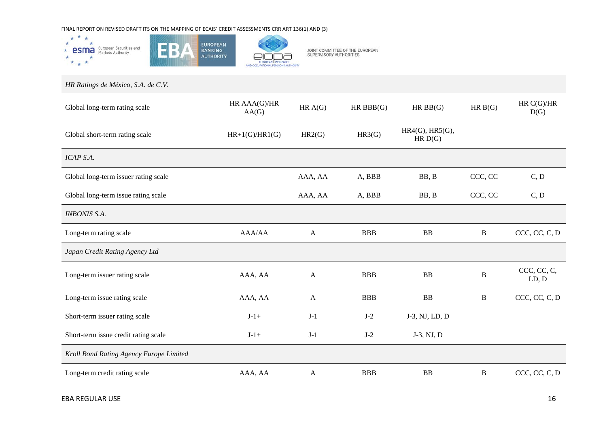

*HR Ratings de México, S.A. de C.V.* Global long-term rating scale HR AAA(G)/HR<br>AA(G)  $\begin{array}{cccc}\n\text{AAA}(G)/\text{HR} & & \text{HR A}(G) & \text{HR BBB}(G) & & \text{HR BB}(G) & & \text{HR B}(G) & & \text{HR C}(G)/\text{HR} \\
\text{AA}(G) & & \text{HR BBB}(G) & & \text{HR BB}(G) & & \text{HR B}(G) & & \text{DR} \end{array}$  $D(G)$ Global short-term rating scale  $HR+1(G)/HR1(G)$   $HR2(G)$   $HR3(G)$   $HR4(G), HR5(G),$  $HR D(G)$ *ICAP S.A.* Global long-term issuer rating scale AAA, AA A, BBB BB, B CCC, CC C, D Global long-term issue rating scale AAA, AA A, BBB BB, B CCC, CC C, D *INBONIS S.A.* Long-term rating scale AAA/AA A BBB BB B CCC, CC, C, D *Japan Credit Rating Agency Ltd* Long-term issuer rating scale AAA, AA <sup>A</sup> BBB BB <sup>B</sup> CCC, CC, C, LD, D Long-term issue rating scale AAA, AA A BBB BB B CCC, CC, C, D Short-term issuer rating scale  $J-1+$   $J-1$   $J-2$   $J-3$ , NJ, LD, D Short-term issue credit rating scale  $J-1$   $J-1$   $J-2$   $J-3$ , NJ, D *Kroll Bond Rating Agency Europe Limited* Long-term credit rating scale AAA, AA A BBB B B CCC, CC, C, D

JOINT COMMITTEE OF THE EUROPEAN<br>SUPERVISORY AUTHORITIES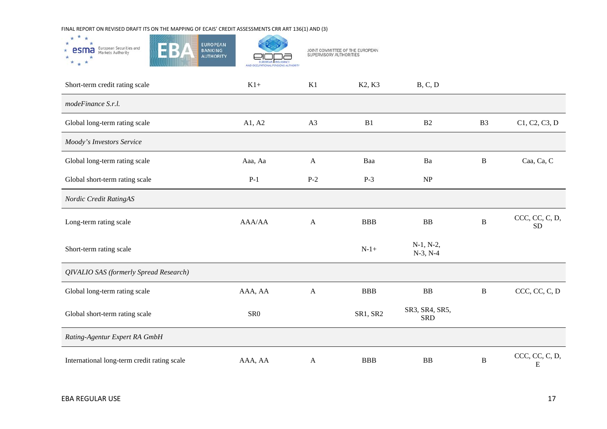

| Short-term credit rating scale              | $K1+$           | K1           | K <sub>2</sub> , K <sub>3</sub> | B, C, D                      |                |                             |
|---------------------------------------------|-----------------|--------------|---------------------------------|------------------------------|----------------|-----------------------------|
| modeFinance S.r.l.                          |                 |              |                                 |                              |                |                             |
| Global long-term rating scale               | A1, A2          | A3           | B1                              | B2                           | B <sub>3</sub> | C1, C2, C3, D               |
| Moody's Investors Service                   |                 |              |                                 |                              |                |                             |
| Global long-term rating scale               | Aaa, Aa         | $\mathbf{A}$ | Baa                             | Ba                           | $\, {\bf B}$   | Caa, Ca, C                  |
| Global short-term rating scale              | $P-1$           | $P-2$        | $P-3$                           | NP                           |                |                             |
| Nordic Credit RatingAS                      |                 |              |                                 |                              |                |                             |
| Long-term rating scale                      | AAA/AA          | $\mathbf{A}$ | <b>BBB</b>                      | BB                           | $\, {\bf B}$   | CCC, CC, C, D,<br><b>SD</b> |
| Short-term rating scale                     |                 |              | $N-1+$                          | $N-1, N-2,$<br>$N-3, N-4$    |                |                             |
| QIVALIO SAS (formerly Spread Research)      |                 |              |                                 |                              |                |                             |
| Global long-term rating scale               | AAA, AA         | $\mathbf{A}$ | <b>BBB</b>                      | <b>BB</b>                    | $\, {\bf B}$   | CCC, CC, C, D               |
| Global short-term rating scale              | SR <sub>0</sub> |              | SR1, SR2                        | SR3, SR4, SR5,<br><b>SRD</b> |                |                             |
| Rating-Agentur Expert RA GmbH               |                 |              |                                 |                              |                |                             |
| International long-term credit rating scale | AAA, AA         | $\mathbf{A}$ | <b>BBB</b>                      | <b>BB</b>                    | $\, {\bf B}$   | CCC, CC, C, D,<br>E         |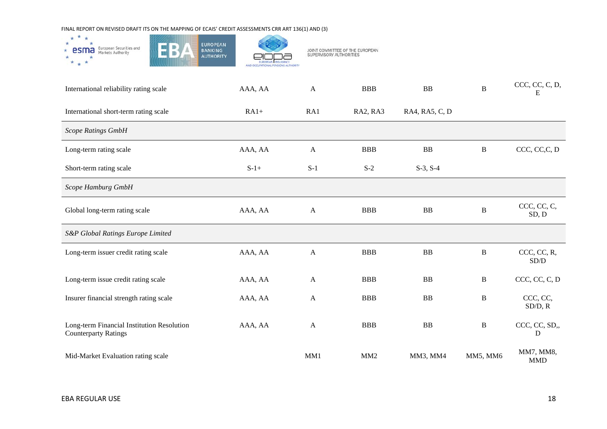

| International reliability rating scale                                    | AAA, AA | $\mathbf{A}$ | <b>BBB</b>      | BB             | $\mathbf B$  | CCC, CC, C, D,<br>E     |
|---------------------------------------------------------------------------|---------|--------------|-----------------|----------------|--------------|-------------------------|
| International short-term rating scale                                     | $RA1+$  | RA1          | RA2, RA3        | RA4, RA5, C, D |              |                         |
| <b>Scope Ratings GmbH</b>                                                 |         |              |                 |                |              |                         |
| Long-term rating scale                                                    | AAA, AA | $\mathbf{A}$ | <b>BBB</b>      | BB             | $\, {\bf B}$ | CCC, CC, C, D           |
| Short-term rating scale                                                   | $S-1+$  | $S-1$        | $S-2$           | $S-3, S-4$     |              |                         |
| Scope Hamburg GmbH                                                        |         |              |                 |                |              |                         |
| Global long-term rating scale                                             | AAA, AA | $\mathbf{A}$ | <b>BBB</b>      | BB             | $\mathbf B$  | CCC, CC, C,<br>SD, D    |
| S&P Global Ratings Europe Limited                                         |         |              |                 |                |              |                         |
| Long-term issuer credit rating scale                                      | AAA, AA | $\mathbf{A}$ | <b>BBB</b>      | BB             | $\bf{B}$     | CCC, CC, R,<br>SD/D     |
| Long-term issue credit rating scale                                       | AAA, AA | $\mathbf{A}$ | <b>BBB</b>      | <b>BB</b>      | B            | CCC, CC, C, D           |
| Insurer financial strength rating scale                                   | AAA, AA | $\mathbf{A}$ | <b>BBB</b>      | <b>BB</b>      | $\, {\bf B}$ | CCC, CC,<br>SD/D, R     |
| Long-term Financial Institution Resolution<br><b>Counterparty Ratings</b> | AAA, AA | $\mathbf{A}$ | <b>BBB</b>      | <b>BB</b>      | $\mathbf B$  | CCC, CC, SD,,<br>D      |
| Mid-Market Evaluation rating scale                                        |         | MM1          | MM <sub>2</sub> | MM3, MM4       | MM5, MM6     | MM7, MM8,<br><b>MMD</b> |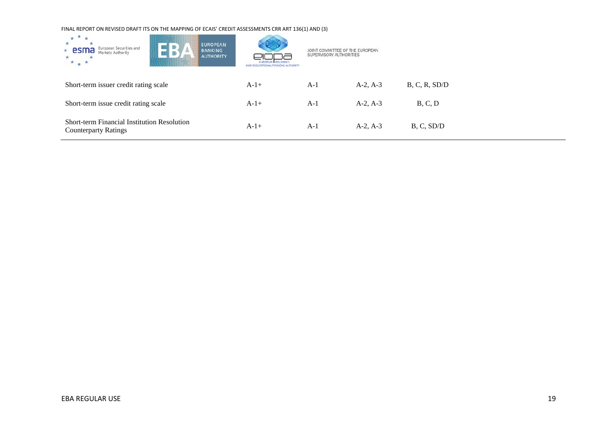| $* *$<br><b>EUROPEAN</b><br>$\blacksquare$ B)<br>European Securities and<br>$*$ esma<br><b>BANKING</b><br>Markets Authority<br><b>AUTHORITY</b><br>$* + *$ | <b>INSHPANO</b><br><b>JPATIONAL PENSIONS AUTHORITY</b> | JOINT COMMITTEE OF THE EUROPEAN<br>SUPERVISORY AUTHORITIES |            |               |
|------------------------------------------------------------------------------------------------------------------------------------------------------------|--------------------------------------------------------|------------------------------------------------------------|------------|---------------|
| Short-term issuer credit rating scale                                                                                                                      | $A-1+$                                                 | $A-1$                                                      | $A-2, A-3$ | B, C, R, SD/D |
| Short-term issue credit rating scale                                                                                                                       | $A-1+$                                                 | $A-1$                                                      | $A-2, A-3$ | B, C, D       |
| <b>Short-term Financial Institution Resolution</b><br><b>Counterparty Ratings</b>                                                                          | $A-1+$                                                 | $A-1$                                                      | $A-2, A-3$ | B, C, SD/D    |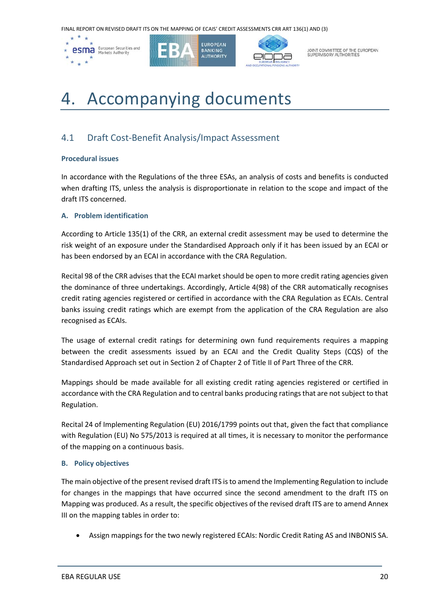

JOINT COMMITTEE OF THE EUROPEAN<br>SUPERVISORY AUTHORITIES

## 4. Accompanying documents

## 4.1 Draft Cost-Benefit Analysis/Impact Assessment

#### **Procedural issues**

In accordance with the Regulations of the three ESAs, an analysis of costs and benefits is conducted when drafting ITS, unless the analysis is disproportionate in relation to the scope and impact of the draft ITS concerned.

#### **A. Problem identification**

According to Article 135(1) of the CRR, an external credit assessment may be used to determine the risk weight of an exposure under the Standardised Approach only if it has been issued by an ECAI or has been endorsed by an ECAI in accordance with the CRA Regulation.

Recital 98 of the CRR advises that the ECAI market should be open to more credit rating agencies given the dominance of three undertakings. Accordingly, Article 4(98) of the CRR automatically recognises credit rating agencies registered or certified in accordance with the CRA Regulation as ECAIs. Central banks issuing credit ratings which are exempt from the application of the CRA Regulation are also recognised as ECAIs.

The usage of external credit ratings for determining own fund requirements requires a mapping between the credit assessments issued by an ECAI and the Credit Quality Steps (CQS) of the Standardised Approach set out in Section 2 of Chapter 2 of Title II of Part Three of the CRR.

Mappings should be made available for all existing credit rating agencies registered or certified in accordance with the CRA Regulation and to central banks producing ratings that are not subject to that Regulation.

Recital 24 of Implementing Regulation (EU) 2016/1799 points out that, given the fact that compliance with Regulation (EU) No 575/2013 is required at all times, it is necessary to monitor the performance of the mapping on a continuous basis.

#### **B. Policy objectives**

The main objective of the present revised draft ITS is to amend the Implementing Regulation to include for changes in the mappings that have occurred since the second amendment to the draft ITS on Mapping was produced. As a result, the specific objectives of the revised draft ITS are to amend Annex III on the mapping tables in order to:

• Assign mappings for the two newly registered ECAIs: Nordic Credit Rating AS and INBONIS SA.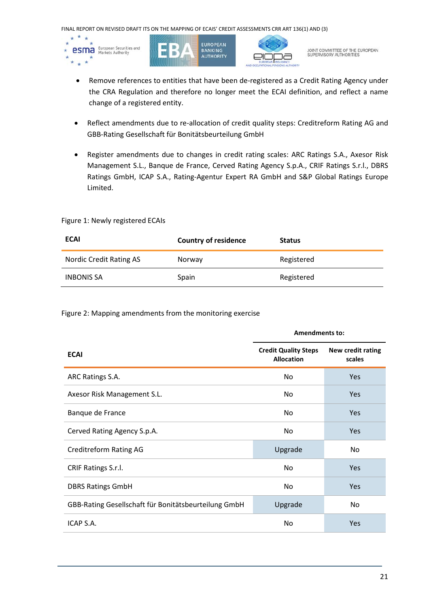

- Remove references to entities that have been de-registered as a Credit Rating Agency under the CRA Regulation and therefore no longer meet the ECAI definition, and reflect a name change of a registered entity.
- Reflect amendments due to re-allocation of credit quality steps: Creditreform Rating AG and GBB-Rating Gesellschaft für Bonitätsbeurteilung GmbH
- Register amendments due to changes in credit rating scales: ARC Ratings S.A., Axesor Risk Management S.L., Banque de France, Cerved Rating Agency S.p.A., CRIF Ratings S.r.l., DBRS Ratings GmbH, ICAP S.A., Rating-Agentur Expert RA GmbH and S&P Global Ratings Europe Limited.

#### Figure 1: Newly registered ECAIs

| <b>ECAI</b>             | <b>Country of residence</b> | <b>Status</b> |
|-------------------------|-----------------------------|---------------|
| Nordic Credit Rating AS | Norway                      | Registered    |
| <b>INBONIS SA</b>       | Spain                       | Registered    |

#### Figure 2: Mapping amendments from the monitoring exercise

|                                                      | <b>Amendments to:</b>                            |                             |  |
|------------------------------------------------------|--------------------------------------------------|-----------------------------|--|
| <b>ECAI</b>                                          | <b>Credit Quality Steps</b><br><b>Allocation</b> | New credit rating<br>scales |  |
| ARC Ratings S.A.                                     | No.                                              | <b>Yes</b>                  |  |
| Axesor Risk Management S.L.                          | No.                                              | <b>Yes</b>                  |  |
| Banque de France                                     | No.                                              | <b>Yes</b>                  |  |
| Cerved Rating Agency S.p.A.                          | No.                                              | <b>Yes</b>                  |  |
| <b>Creditreform Rating AG</b>                        | Upgrade                                          | No.                         |  |
| CRIF Ratings S.r.l.                                  | No                                               | <b>Yes</b>                  |  |
| <b>DBRS Ratings GmbH</b>                             | No.                                              | Yes                         |  |
| GBB-Rating Gesellschaft für Bonitätsbeurteilung GmbH | Upgrade                                          | No.                         |  |
| ICAP S.A.                                            | No                                               | <b>Yes</b>                  |  |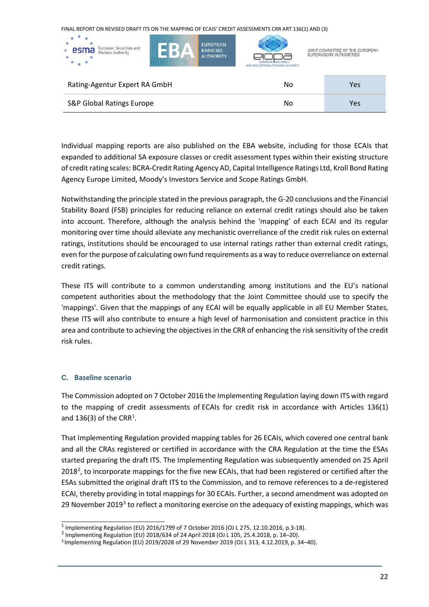| ж<br><b>EUROPEAN</b><br>European Securities and<br>esma<br><b>BANKING</b><br>*<br>Markets Authority<br><b>AUTHORITY</b><br>$*$ $*$ | EUROPEAN INSURANCE<br>AND OCCUPATIONAL PENSIONS AUTHORITY | JOINT COMMITTEE OF THE EUROPEAN<br>SUPERVISORY AUTHORITIES |
|------------------------------------------------------------------------------------------------------------------------------------|-----------------------------------------------------------|------------------------------------------------------------|
| Rating-Agentur Expert RA GmbH                                                                                                      | No                                                        | Yes                                                        |
| S&P Global Ratings Europe                                                                                                          | No                                                        | Yes                                                        |

Individual mapping reports are also published on the EBA website, including for those ECAIs that expanded to additional SA exposure classes or credit assessment types within their existing structure of credit rating scales: BCRA-Credit Rating Agency AD, Capital Intelligence Ratings Ltd, Kroll Bond Rating Agency Europe Limited, Moody's Investors Service and Scope Ratings GmbH.

Notwithstanding the principle stated in the previous paragraph, the G-20 conclusions and the Financial Stability Board (FSB) principles for reducing reliance on external credit ratings should also be taken into account. Therefore, although the analysis behind the 'mapping' of each ECAI and its regular monitoring over time should alleviate any mechanistic overreliance of the credit risk rules on external ratings, institutions should be encouraged to use internal ratings rather than external credit ratings, even for the purpose of calculating own fund requirements as a way to reduce overreliance on external credit ratings.

These ITS will contribute to a common understanding among institutions and the EU's national competent authorities about the methodology that the Joint Committee should use to specify the 'mappings'. Given that the mappings of any ECAI will be equally applicable in all EU Member States, these ITS will also contribute to ensure a high level of harmonisation and consistent practice in this area and contribute to achieving the objectives in the CRR of enhancing the risk sensitivity of the credit risk rules.

#### **C. Baseline scenario**

The Commission adopted on 7 October 2016 the Implementing Regulation laying down ITS with regard to the mapping of credit assessments of ECAIs for credit risk in accordance with Articles 136(1) and [1](#page-21-0)36(3) of the CRR<sup>1</sup>.

That Implementing Regulation provided mapping tables for 26 ECAIs, which covered one central bank and all the CRAs registered or certified in accordance with the CRA Regulation at the time the ESAs started preparing the draft ITS. The Implementing Regulation was subsequently amended on 25 April [2](#page-21-1)018<sup>2</sup>, to incorporate mappings for the five new ECAIs, that had been registered or certified after the ESAs submitted the original draft ITS to the Commission, and to remove references to a de-registered ECAI, thereby providing in total mappings for 30 ECAIs. Further, a second amendment was adopted on 29 November 2019<sup>[3](#page-21-2)</sup> to reflect a monitoring exercise on the adequacy of existing mappings, which was

<span id="page-21-0"></span><sup>&</sup>lt;sup>1</sup> Implementing Regulation (EU) 2016/1799 of 7 October 2016 (OJ L 275, 12.10.2016, p.3-18).<br><sup>2</sup> Implementing Regulation (EU) 2018/634 of 24 April 2018 (OJ L 105, 25.4.2018, p. 14–20).

<span id="page-21-1"></span>

<span id="page-21-2"></span><sup>3</sup> Implementing Regulation (EU) 2019/2028 of 29 November 2019 (OJ L 313, 4.12.2019, p. 34–40).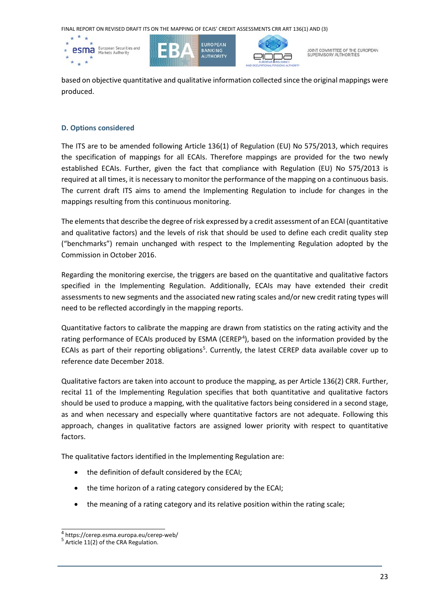

based on objective quantitative and qualitative information collected since the original mappings were produced.

#### **D. Options considered**

The ITS are to be amended following Article 136(1) of Regulation (EU) No 575/2013, which requires the specification of mappings for all ECAIs. Therefore mappings are provided for the two newly established ECAIs. Further, given the fact that compliance with Regulation (EU) No 575/2013 is required at all times, it is necessary to monitor the performance of the mapping on a continuous basis. The current draft ITS aims to amend the Implementing Regulation to include for changes in the mappings resulting from this continuous monitoring.

The elements that describe the degree of risk expressed by a credit assessment of an ECAI (quantitative and qualitative factors) and the levels of risk that should be used to define each credit quality step ("benchmarks") remain unchanged with respect to the Implementing Regulation adopted by the Commission in October 2016.

Regarding the monitoring exercise, the triggers are based on the quantitative and qualitative factors specified in the Implementing Regulation. Additionally, ECAIs may have extended their credit assessments to new segments and the associated new rating scales and/or new credit rating types will need to be reflected accordingly in the mapping reports.

Quantitative factors to calibrate the mapping are drawn from statistics on the rating activity and the rating performance of ECAIs produced by ESMA (CEREP<sup>[4](#page-22-0)</sup>), based on the information provided by the ECAIs as part of their reporting obligations<sup>[5](#page-22-1)</sup>. Currently, the latest CEREP data available cover up to reference date December 2018.

Qualitative factors are taken into account to produce the mapping, as per Article 136(2) CRR. Further, recital 11 of the Implementing Regulation specifies that both quantitative and qualitative factors should be used to produce a mapping, with the qualitative factors being considered in a second stage, as and when necessary and especially where quantitative factors are not adequate. Following this approach, changes in qualitative factors are assigned lower priority with respect to quantitative factors.

The qualitative factors identified in the Implementing Regulation are:

- the definition of default considered by the ECAI;
- the time horizon of a rating category considered by the ECAI;
- the meaning of a rating category and its relative position within the rating scale;

<span id="page-22-1"></span><span id="page-22-0"></span> $^4$  <https://cerep.esma.europa.eu/cerep-web/><br> $^5$  Article 11(2) of the CRA Regulation.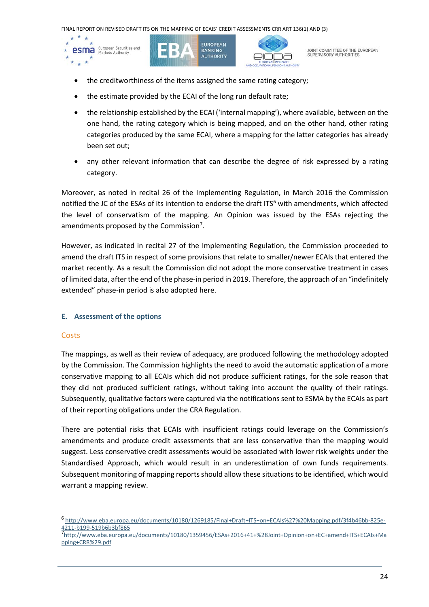

- the creditworthiness of the items assigned the same rating category;
- the estimate provided by the ECAI of the long run default rate;
- the relationship established by the ECAI ('internal mapping'), where available, between on the one hand, the rating category which is being mapped, and on the other hand, other rating categories produced by the same ECAI, where a mapping for the latter categories has already been set out;
- any other relevant information that can describe the degree of risk expressed by a rating category.

Moreover, as noted in recital 26 of the Implementing Regulation, in March 2016 the Commission notified the JC of the ESAs of its intention to endorse the draft ITS<sup>[6](#page-23-0)</sup> with amendments, which affected the level of conservatism of the mapping. An Opinion was issued by the ESAs rejecting the amendments proposed by the Commission<sup>[7](#page-23-1)</sup>.

However, as indicated in recital 27 of the Implementing Regulation, the Commission proceeded to amend the draft ITS in respect of some provisions that relate to smaller/newer ECAIs that entered the market recently. As a result the Commission did not adopt the more conservative treatment in cases of limited data, after the end of the phase-in period in 2019. Therefore, the approach of an "indefinitely extended" phase-in period is also adopted here.

## **E. Assessment of the options**

## **Costs**

The mappings, as well as their review of adequacy, are produced following the methodology adopted by the Commission. The Commission highlights the need to avoid the automatic application of a more conservative mapping to all ECAIs which did not produce sufficient ratings, for the sole reason that they did not produced sufficient ratings, without taking into account the quality of their ratings. Subsequently, qualitative factors were captured via the notifications sent to ESMA by the ECAIs as part of their reporting obligations under the CRA Regulation.

There are potential risks that ECAIs with insufficient ratings could leverage on the Commission's amendments and produce credit assessments that are less conservative than the mapping would suggest. Less conservative credit assessments would be associated with lower risk weights under the Standardised Approach, which would result in an underestimation of own funds requirements. Subsequent monitoring of mapping reports should allow these situations to be identified, which would warrant a mapping review.

<span id="page-23-0"></span> <sup>6</sup> [http://www.eba.europa.eu/documents/10180/1269185/Final+Draft+ITS+on+ECAIs%27%20Mapping.pdf/3f4b46bb-825e-](http://www.eba.europa.eu/documents/10180/1269185/Final+Draft+ITS+on+ECAIs%27%20Mapping.pdf/3f4b46bb-825e-4211-b199-519b6b3bf865)[4211-b199-519b6b3bf865](http://www.eba.europa.eu/documents/10180/1269185/Final+Draft+ITS+on+ECAIs%27%20Mapping.pdf/3f4b46bb-825e-4211-b199-519b6b3bf865) <sup>7</sup>

<span id="page-23-1"></span>[http://www.eba.europa.eu/documents/10180/1359456/ESAs+2016+41+%28Joint+Opinion+on+EC+amend+ITS+ECAIs+Ma](http://www.eba.europa.eu/documents/10180/1359456/ESAs+2016+41+%28Joint+Opinion+on+EC+amend+ITS+ECAIs+Mapping+CRR%29.pdf) [pping+CRR%29.pdf](http://www.eba.europa.eu/documents/10180/1359456/ESAs+2016+41+%28Joint+Opinion+on+EC+amend+ITS+ECAIs+Mapping+CRR%29.pdf)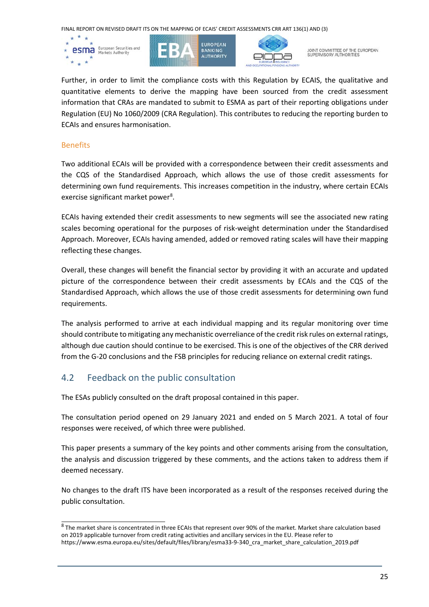

JOINT COMMITTEE OF THE EUROPEAN<br>SUPERVISORY AUTHORITIES

Further, in order to limit the compliance costs with this Regulation by ECAIS, the qualitative and quantitative elements to derive the mapping have been sourced from the credit assessment information that CRAs are mandated to submit to ESMA as part of their reporting obligations under Regulation (EU) No 1060/2009 (CRA Regulation). This contributes to reducing the reporting burden to ECAIs and ensures harmonisation.

#### **Benefits**

Two additional ECAIs will be provided with a correspondence between their credit assessments and the CQS of the Standardised Approach, which allows the use of those credit assessments for determining own fund requirements. This increases competition in the industry, where certain ECAIs exercise significant market power<sup>[8](#page-24-0)</sup>.

ECAIs having extended their credit assessments to new segments will see the associated new rating scales becoming operational for the purposes of risk-weight determination under the Standardised Approach. Moreover, ECAIs having amended, added or removed rating scales will have their mapping reflecting these changes.

Overall, these changes will benefit the financial sector by providing it with an accurate and updated picture of the correspondence between their credit assessments by ECAIs and the CQS of the Standardised Approach, which allows the use of those credit assessments for determining own fund requirements.

The analysis performed to arrive at each individual mapping and its regular monitoring over time should contribute to mitigating any mechanistic overreliance of the credit risk rules on external ratings, although due caution should continue to be exercised. This is one of the objectives of the CRR derived from the G-20 conclusions and the FSB principles for reducing reliance on external credit ratings.

## 4.2 Feedback on the public consultation

The ESAs publicly consulted on the draft proposal contained in this paper.

The consultation period opened on 29 January 2021 and ended on 5 March 2021. A total of four responses were received, of which three were published.

This paper presents a summary of the key points and other comments arising from the consultation, the analysis and discussion triggered by these comments, and the actions taken to address them if deemed necessary.

No changes to the draft ITS have been incorporated as a result of the responses received during the public consultation.

<span id="page-24-0"></span> $8$  The market share is concentrated in three ECAIs that represent over 90% of the market. Market share calculation based on 2019 applicable turnover from credit rating activities and ancillary services in the EU. Please refer to https://www.esma.europa.eu/sites/default/files/library/esma33-9-340\_cra\_market\_share\_calculation\_2019.pdf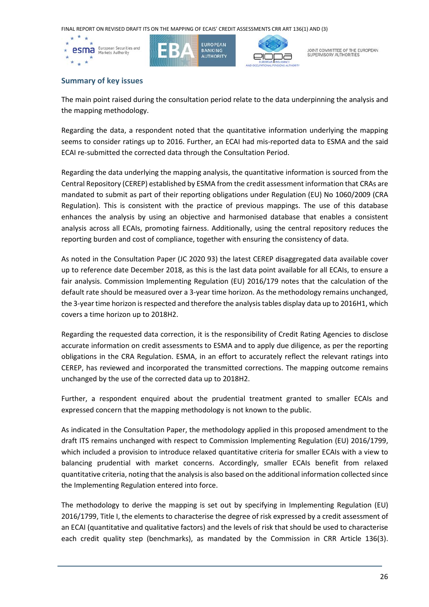





JOINT COMMITTEE OF THE EUROPEAN<br>SUPERVISORY AUTHORITIES

#### **Summary of key issues**

The main point raised during the consultation period relate to the data underpinning the analysis and the mapping methodology.

Regarding the data, a respondent noted that the quantitative information underlying the mapping seems to consider ratings up to 2016. Further, an ECAI had mis-reported data to ESMA and the said ECAI re-submitted the corrected data through the Consultation Period.

Regarding the data underlying the mapping analysis, the quantitative information is sourced from the Central Repository (CEREP) established by ESMA from the credit assessment information that CRAs are mandated to submit as part of their reporting obligations under Regulation (EU) No 1060/2009 (CRA Regulation). This is consistent with the practice of previous mappings. The use of this database enhances the analysis by using an objective and harmonised database that enables a consistent analysis across all ECAIs, promoting fairness. Additionally, using the central repository reduces the reporting burden and cost of compliance, together with ensuring the consistency of data.

As noted in the Consultation Paper (JC 2020 93) the latest CEREP disaggregated data available cover up to reference date December 2018, as this is the last data point available for all ECAIs, to ensure a fair analysis. Commission Implementing Regulation (EU) 2016/179 notes that the calculation of the default rate should be measured over a 3-year time horizon. As the methodology remains unchanged, the 3-year time horizon is respected and therefore the analysis tables display data up to 2016H1, which covers a time horizon up to 2018H2.

Regarding the requested data correction, it is the responsibility of Credit Rating Agencies to disclose accurate information on credit assessments to ESMA and to apply due diligence, as per the reporting obligations in the CRA Regulation. ESMA, in an effort to accurately reflect the relevant ratings into CEREP, has reviewed and incorporated the transmitted corrections. The mapping outcome remains unchanged by the use of the corrected data up to 2018H2.

Further, a respondent enquired about the prudential treatment granted to smaller ECAIs and expressed concern that the mapping methodology is not known to the public.

As indicated in the Consultation Paper, the methodology applied in this proposed amendment to the draft ITS remains unchanged with respect to Commission Implementing Regulation (EU) 2016/1799, which included a provision to introduce relaxed quantitative criteria for smaller ECAIs with a view to balancing prudential with market concerns. Accordingly, smaller ECAIs benefit from relaxed quantitative criteria, noting that the analysis is also based on the additional information collected since the Implementing Regulation entered into force.

The methodology to derive the mapping is set out by specifying in Implementing Regulation (EU) 2016/1799, Title I, the elements to characterise the degree of risk expressed by a credit assessment of an ECAI (quantitative and qualitative factors) and the levels of risk that should be used to characterise each credit quality step (benchmarks), as mandated by the Commission in CRR Article 136(3).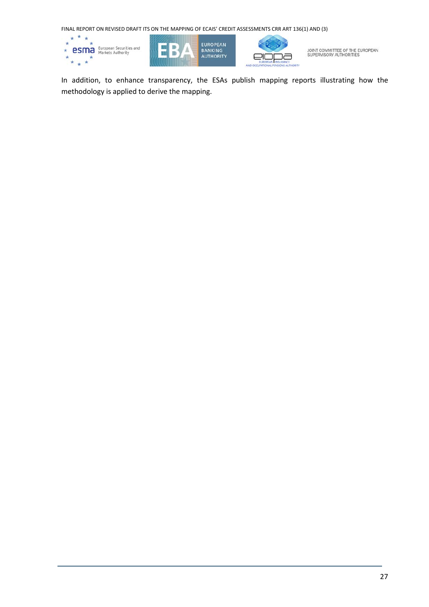

JOINT COMMITTEE OF THE EUROPEAN<br>SUPERVISORY AUTHORITIES

In addition, to enhance transparency, the ESAs publish mapping reports illustrating how the methodology is applied to derive the mapping.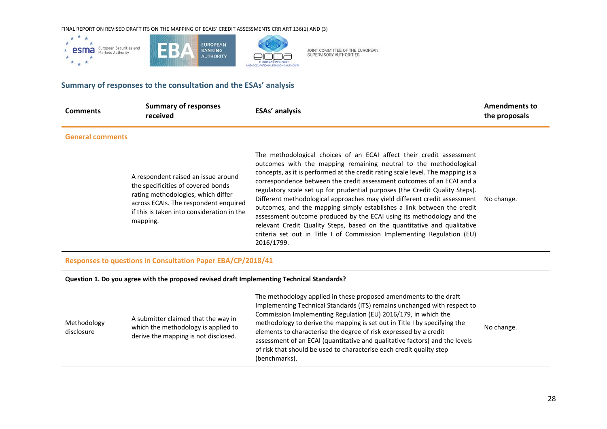

## **Summary of responses to the consultation and the ESAs' analysis**

| <b>Comments</b>         | <b>Summary of responses</b><br>received                                                                                                                                                                            | <b>ESAs' analysis</b>                                                                                                                                                                                                                                                                                                                                                                                                                                                                                                                                                                                                                                                                                                                                                                     | <b>Amendments to</b><br>the proposals |
|-------------------------|--------------------------------------------------------------------------------------------------------------------------------------------------------------------------------------------------------------------|-------------------------------------------------------------------------------------------------------------------------------------------------------------------------------------------------------------------------------------------------------------------------------------------------------------------------------------------------------------------------------------------------------------------------------------------------------------------------------------------------------------------------------------------------------------------------------------------------------------------------------------------------------------------------------------------------------------------------------------------------------------------------------------------|---------------------------------------|
| <b>General comments</b> |                                                                                                                                                                                                                    |                                                                                                                                                                                                                                                                                                                                                                                                                                                                                                                                                                                                                                                                                                                                                                                           |                                       |
|                         | A respondent raised an issue around<br>the specificities of covered bonds<br>rating methodologies, which differ<br>across ECAIs. The respondent enquired<br>if this is taken into consideration in the<br>mapping. | The methodological choices of an ECAI affect their credit assessment<br>outcomes with the mapping remaining neutral to the methodological<br>concepts, as it is performed at the credit rating scale level. The mapping is a<br>correspondence between the credit assessment outcomes of an ECAI and a<br>regulatory scale set up for prudential purposes (the Credit Quality Steps).<br>Different methodological approaches may yield different credit assessment<br>outcomes, and the mapping simply establishes a link between the credit<br>assessment outcome produced by the ECAI using its methodology and the<br>relevant Credit Quality Steps, based on the quantitative and qualitative<br>criteria set out in Title I of Commission Implementing Regulation (EU)<br>2016/1799. | No change.                            |

JOINT COMMITTEE OF THE EUROPEAN<br>SUPERVISORY AUTHORITIES

#### **Responses to questions in Consultation Paper EBA/CP/2018/41**

#### **Question 1. Do you agree with the proposed revised draft Implementing Technical Standards?**

| Methodology<br>disclosure | A submitter claimed that the way in<br>which the methodology is applied to<br>derive the mapping is not disclosed. | The methodology applied in these proposed amendments to the draft<br>Implementing Technical Standards (ITS) remains unchanged with respect to<br>Commission Implementing Regulation (EU) 2016/179, in which the<br>methodology to derive the mapping is set out in Title I by specifying the<br>elements to characterise the degree of risk expressed by a credit<br>assessment of an ECAI (quantitative and qualitative factors) and the levels<br>of risk that should be used to characterise each credit quality step<br>(benchmarks). | No change. |
|---------------------------|--------------------------------------------------------------------------------------------------------------------|-------------------------------------------------------------------------------------------------------------------------------------------------------------------------------------------------------------------------------------------------------------------------------------------------------------------------------------------------------------------------------------------------------------------------------------------------------------------------------------------------------------------------------------------|------------|
|---------------------------|--------------------------------------------------------------------------------------------------------------------|-------------------------------------------------------------------------------------------------------------------------------------------------------------------------------------------------------------------------------------------------------------------------------------------------------------------------------------------------------------------------------------------------------------------------------------------------------------------------------------------------------------------------------------------|------------|

 $\overline{\phantom{a}}$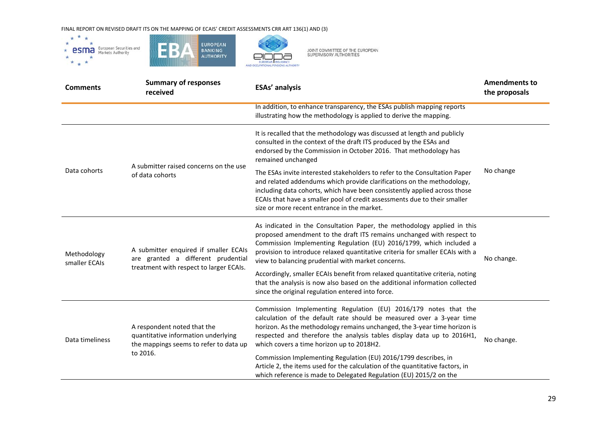

JOINT COMMITTEE OF THE EUROPEAN<br>SUPERVISORY AUTHORITIES

| <b>Comments</b>              | <b>Summary of responses</b><br>received                                                                                  | <b>ESAs' analysis</b>                                                                                                                                                                                                                                                                                                                                          | <b>Amendments to</b><br>the proposals |
|------------------------------|--------------------------------------------------------------------------------------------------------------------------|----------------------------------------------------------------------------------------------------------------------------------------------------------------------------------------------------------------------------------------------------------------------------------------------------------------------------------------------------------------|---------------------------------------|
|                              |                                                                                                                          | In addition, to enhance transparency, the ESAs publish mapping reports<br>illustrating how the methodology is applied to derive the mapping.                                                                                                                                                                                                                   |                                       |
| Data cohorts                 | A submitter raised concerns on the use<br>of data cohorts                                                                | It is recalled that the methodology was discussed at length and publicly<br>consulted in the context of the draft ITS produced by the ESAs and<br>endorsed by the Commission in October 2016. That methodology has<br>remained unchanged                                                                                                                       | No change                             |
|                              |                                                                                                                          | The ESAs invite interested stakeholders to refer to the Consultation Paper<br>and related addendums which provide clarifications on the methodology,<br>including data cohorts, which have been consistently applied across those<br>ECAIs that have a smaller pool of credit assessments due to their smaller<br>size or more recent entrance in the market.  |                                       |
| Methodology<br>smaller ECAIs | A submitter enquired if smaller ECAIs<br>are granted a different prudential<br>treatment with respect to larger ECAIs.   | As indicated in the Consultation Paper, the methodology applied in this<br>proposed amendment to the draft ITS remains unchanged with respect to<br>Commission Implementing Regulation (EU) 2016/1799, which included a<br>provision to introduce relaxed quantitative criteria for smaller ECAIs with a<br>view to balancing prudential with market concerns. | No change.                            |
|                              |                                                                                                                          | Accordingly, smaller ECAIs benefit from relaxed quantitative criteria, noting<br>that the analysis is now also based on the additional information collected<br>since the original regulation entered into force.                                                                                                                                              |                                       |
| Data timeliness              | A respondent noted that the<br>quantitative information underlying<br>the mappings seems to refer to data up<br>to 2016. | Commission Implementing Regulation (EU) 2016/179 notes that the<br>calculation of the default rate should be measured over a 3-year time<br>horizon. As the methodology remains unchanged, the 3-year time horizon is<br>respected and therefore the analysis tables display data up to 2016H1,<br>which covers a time horizon up to 2018H2.                   | No change.                            |
|                              |                                                                                                                          | Commission Implementing Regulation (EU) 2016/1799 describes, in<br>Article 2, the items used for the calculation of the quantitative factors, in<br>which reference is made to Delegated Regulation (EU) 2015/2 on the                                                                                                                                         |                                       |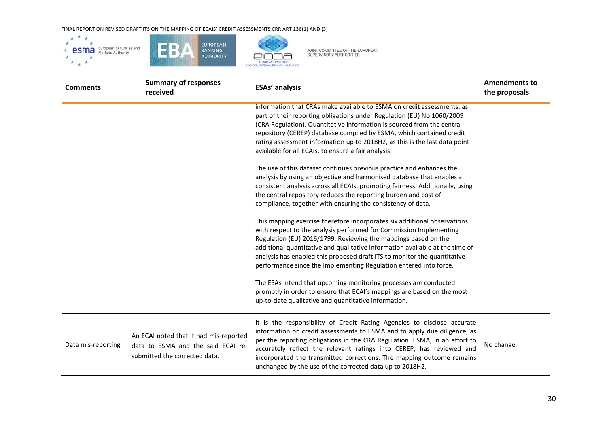

| <b>Comments</b>    | <b>Summary of responses</b><br>received                                                                       | <b>ESAs' analysis</b>                                                                                                                                                                                                                                                                                                                                                                                                                             | <b>Amendments to</b><br>the proposals |
|--------------------|---------------------------------------------------------------------------------------------------------------|---------------------------------------------------------------------------------------------------------------------------------------------------------------------------------------------------------------------------------------------------------------------------------------------------------------------------------------------------------------------------------------------------------------------------------------------------|---------------------------------------|
|                    |                                                                                                               | information that CRAs make available to ESMA on credit assessments. as<br>part of their reporting obligations under Regulation (EU) No 1060/2009<br>(CRA Regulation). Quantitative information is sourced from the central<br>repository (CEREP) database compiled by ESMA, which contained credit<br>rating assessment information up to 2018H2, as this is the last data point<br>available for all ECAIs, to ensure a fair analysis.           |                                       |
|                    |                                                                                                               | The use of this dataset continues previous practice and enhances the<br>analysis by using an objective and harmonised database that enables a<br>consistent analysis across all ECAIs, promoting fairness. Additionally, using<br>the central repository reduces the reporting burden and cost of<br>compliance, together with ensuring the consistency of data.                                                                                  |                                       |
|                    |                                                                                                               | This mapping exercise therefore incorporates six additional observations<br>with respect to the analysis performed for Commission Implementing<br>Regulation (EU) 2016/1799. Reviewing the mappings based on the<br>additional quantitative and qualitative information available at the time of<br>analysis has enabled this proposed draft ITS to monitor the quantitative<br>performance since the Implementing Regulation entered into force. |                                       |
|                    |                                                                                                               | The ESAs intend that upcoming monitoring processes are conducted<br>promptly in order to ensure that ECAI's mappings are based on the most<br>up-to-date qualitative and quantitative information.                                                                                                                                                                                                                                                |                                       |
| Data mis-reporting | An ECAI noted that it had mis-reported<br>data to ESMA and the said ECAI re-<br>submitted the corrected data. | It is the responsibility of Credit Rating Agencies to disclose accurate<br>information on credit assessments to ESMA and to apply due diligence, as<br>per the reporting obligations in the CRA Regulation. ESMA, in an effort to<br>accurately reflect the relevant ratings into CEREP, has reviewed and<br>incorporated the transmitted corrections. The mapping outcome remains<br>unchanged by the use of the corrected data up to 2018H2.    | No change.                            |